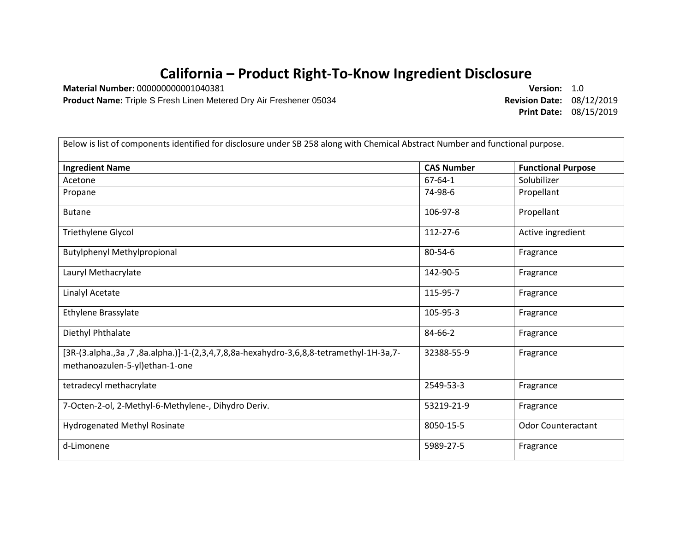## **California – Product Right-To-Know Ingredient Disclosure**

**Material Number:** 000000000001040381 **Version:** 1.0

**Product Name:** Triple S Fresh Linen Metered Dry Air Freshener 05034 **Revision Date:** 08/12/2019

**Print Date:** 08/15/2019

| Below is list of components identified for disclosure under SB 258 along with Chemical Abstract Number and functional purpose. |                   |                           |  |
|--------------------------------------------------------------------------------------------------------------------------------|-------------------|---------------------------|--|
| <b>Ingredient Name</b>                                                                                                         | <b>CAS Number</b> | <b>Functional Purpose</b> |  |
| Acetone                                                                                                                        | $67 - 64 - 1$     | Solubilizer               |  |
| Propane                                                                                                                        | 74-98-6           | Propellant                |  |
| <b>Butane</b>                                                                                                                  | 106-97-8          | Propellant                |  |
| Triethylene Glycol                                                                                                             | 112-27-6          | Active ingredient         |  |
| <b>Butylphenyl Methylpropional</b>                                                                                             | $80 - 54 - 6$     | Fragrance                 |  |
| Lauryl Methacrylate                                                                                                            | 142-90-5          | Fragrance                 |  |
| <b>Linalyl Acetate</b>                                                                                                         | 115-95-7          | Fragrance                 |  |
| Ethylene Brassylate                                                                                                            | 105-95-3          | Fragrance                 |  |
| Diethyl Phthalate                                                                                                              | 84-66-2           | Fragrance                 |  |
| [3R-(3.alpha.,3a,7,88a.alpha.)]-1-(2,3,4,7,8,8a-hexahydro-3,6,8,8-tetramethyl-1H-3a,7-<br>methanoazulen-5-yl)ethan-1-one       | 32388-55-9        | Fragrance                 |  |
| tetradecyl methacrylate                                                                                                        | 2549-53-3         | Fragrance                 |  |
| 7-Octen-2-ol, 2-Methyl-6-Methylene-, Dihydro Deriv.                                                                            | 53219-21-9        | Fragrance                 |  |
| Hydrogenated Methyl Rosinate                                                                                                   | 8050-15-5         | <b>Odor Counteractant</b> |  |
| d-Limonene                                                                                                                     | 5989-27-5         | Fragrance                 |  |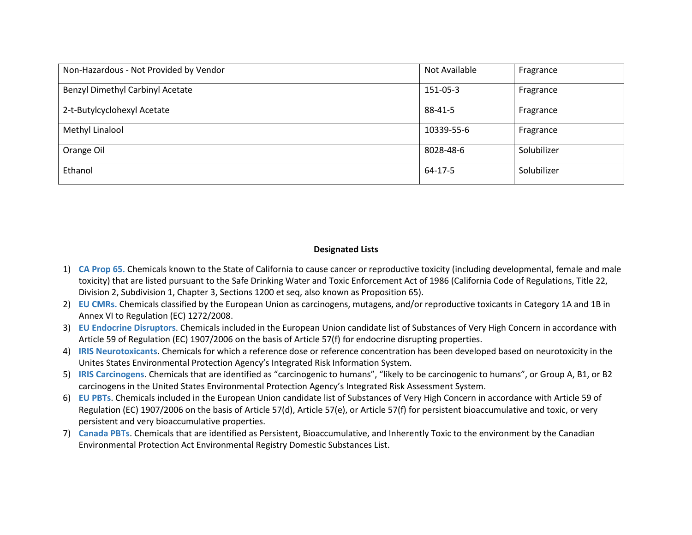| Non-Hazardous - Not Provided by Vendor  | Not Available | Fragrance   |
|-----------------------------------------|---------------|-------------|
| <b>Benzyl Dimethyl Carbinyl Acetate</b> | 151-05-3      | Fragrance   |
| 2-t-Butylcyclohexyl Acetate             | 88-41-5       | Fragrance   |
| Methyl Linalool                         | 10339-55-6    | Fragrance   |
| Orange Oil                              | 8028-48-6     | Solubilizer |
| Ethanol                                 | 64-17-5       | Solubilizer |

## **Designated Lists**

- 1) **CA Prop 65.** Chemicals known to the State of California to cause cancer or reproductive toxicity (including developmental, female and male toxicity) that are listed pursuant to the Safe Drinking Water and Toxic Enforcement Act of 1986 (California Code of Regulations, Title 22, Division 2, Subdivision 1, Chapter 3, Sections 1200 et seq, also known as Proposition 65).
- 2) **EU CMRs.** Chemicals classified by the European Union as carcinogens, mutagens, and/or reproductive toxicants in Category 1A and 1B in Annex VI to Regulation (EC) 1272/2008.
- 3) **EU Endocrine Disruptors**. Chemicals included in the European Union candidate list of Substances of Very High Concern in accordance with Article 59 of Regulation (EC) 1907/2006 on the basis of Article 57(f) for endocrine disrupting properties.
- 4) **IRIS Neurotoxicants**. Chemicals for which a reference dose or reference concentration has been developed based on neurotoxicity in the Unites States Environmental Protection Agency's Integrated Risk Information System.
- 5) **IRIS Carcinogens**. Chemicals that are identified as "carcinogenic to humans", "likely to be carcinogenic to humans", or Group A, B1, or B2 carcinogens in the United States Environmental Protection Agency's Integrated Risk Assessment System.
- 6) **EU PBTs**. Chemicals included in the European Union candidate list of Substances of Very High Concern in accordance with Article 59 of Regulation (EC) 1907/2006 on the basis of Article 57(d), Article 57(e), or Article 57(f) for persistent bioaccumulative and toxic, or very persistent and very bioaccumulative properties.
- 7) **Canada PBTs**. Chemicals that are identified as Persistent, Bioaccumulative, and Inherently Toxic to the environment by the Canadian Environmental Protection Act Environmental Registry Domestic Substances List.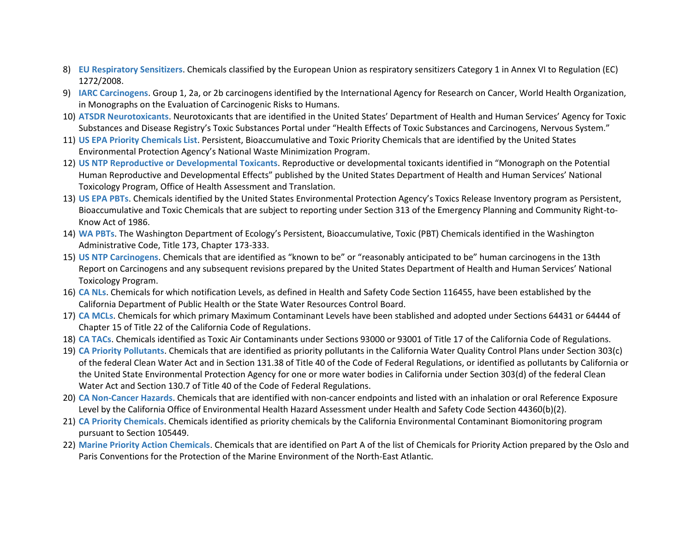- 8) **EU Respiratory Sensitizers**. Chemicals classified by the European Union as respiratory sensitizers Category 1 in Annex VI to Regulation (EC) 1272/2008.
- 9) **IARC Carcinogens**. Group 1, 2a, or 2b carcinogens identified by the International Agency for Research on Cancer, World Health Organization, in Monographs on the Evaluation of Carcinogenic Risks to Humans.
- 10) **ATSDR Neurotoxicants**. Neurotoxicants that are identified in the United States' Department of Health and Human Services' Agency for Toxic Substances and Disease Registry's Toxic Substances Portal under "Health Effects of Toxic Substances and Carcinogens, Nervous System."
- 11) **US EPA Priority Chemicals List**. Persistent, Bioaccumulative and Toxic Priority Chemicals that are identified by the United States Environmental Protection Agency's National Waste Minimization Program.
- 12) **US NTP Reproductive or Developmental Toxicants**. Reproductive or developmental toxicants identified in "Monograph on the Potential Human Reproductive and Developmental Effects" published by the United States Department of Health and Human Services' National Toxicology Program, Office of Health Assessment and Translation.
- 13) **US EPA PBTs**. Chemicals identified by the United States Environmental Protection Agency's Toxics Release Inventory program as Persistent, Bioaccumulative and Toxic Chemicals that are subject to reporting under Section 313 of the Emergency Planning and Community Right-to-Know Act of 1986.
- 14) **WA PBTs**. The Washington Department of Ecology's Persistent, Bioaccumulative, Toxic (PBT) Chemicals identified in the Washington Administrative Code, Title 173, Chapter 173-333.
- 15) **US NTP Carcinogens**. Chemicals that are identified as "known to be" or "reasonably anticipated to be" human carcinogens in the 13th Report on Carcinogens and any subsequent revisions prepared by the United States Department of Health and Human Services' National Toxicology Program.
- 16) **CA NLs**. Chemicals for which notification Levels, as defined in Health and Safety Code Section 116455, have been established by the California Department of Public Health or the State Water Resources Control Board.
- 17) **CA MCLs**. Chemicals for which primary Maximum Contaminant Levels have been stablished and adopted under Sections 64431 or 64444 of Chapter 15 of Title 22 of the California Code of Regulations.
- 18) **CA TACs**. Chemicals identified as Toxic Air Contaminants under Sections 93000 or 93001 of Title 17 of the California Code of Regulations.
- 19) **CA Priority Pollutants**. Chemicals that are identified as priority pollutants in the California Water Quality Control Plans under Section 303(c) of the federal Clean Water Act and in Section 131.38 of Title 40 of the Code of Federal Regulations, or identified as pollutants by California or the United State Environmental Protection Agency for one or more water bodies in California under Section 303(d) of the federal Clean Water Act and Section 130.7 of Title 40 of the Code of Federal Regulations.
- 20) **CA Non-Cancer Hazards**. Chemicals that are identified with non-cancer endpoints and listed with an inhalation or oral Reference Exposure Level by the California Office of Environmental Health Hazard Assessment under Health and Safety Code Section 44360(b)(2).
- 21) **CA Priority Chemicals**. Chemicals identified as priority chemicals by the California Environmental Contaminant Biomonitoring program pursuant to Section 105449.
- 22) **Marine Priority Action Chemicals**. Chemicals that are identified on Part A of the list of Chemicals for Priority Action prepared by the Oslo and Paris Conventions for the Protection of the Marine Environment of the North-East Atlantic.